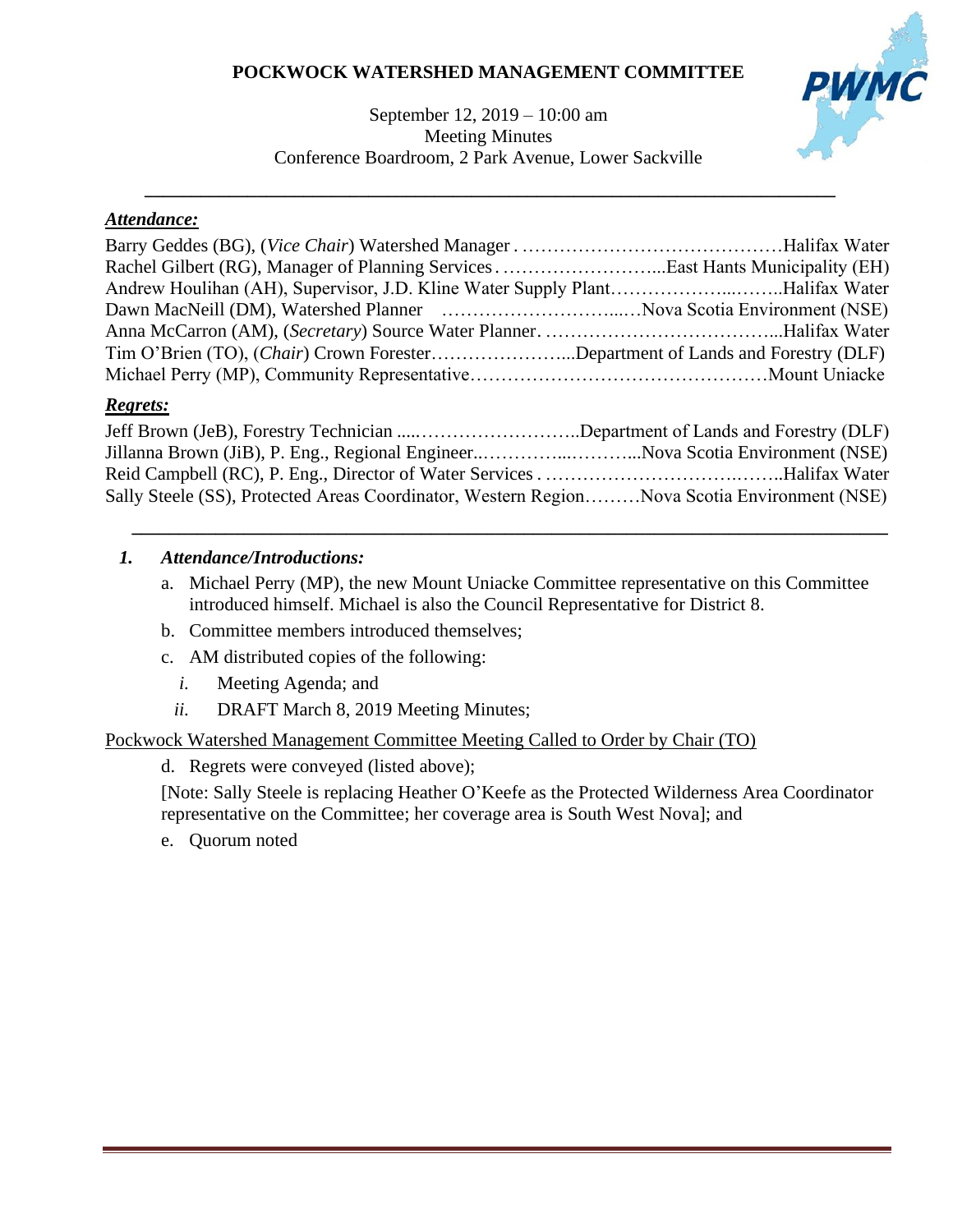# **POCKWOCK WATERSHED MANAGEMENT COMMITTEE**

### September 12, 2019 – 10:00 am Meeting Minutes Conference Boardroom, 2 Park Avenue, Lower Sackville

**\_\_\_\_\_\_\_\_\_\_\_\_\_\_\_\_\_\_\_\_\_\_\_\_\_\_\_\_\_\_\_\_\_\_\_\_\_\_\_\_\_\_\_\_\_\_\_\_\_\_\_\_\_\_\_\_\_\_\_\_\_\_\_\_\_\_\_\_\_\_\_\_\_\_**



## *Attendance:*

| Andrew Houlihan (AH), Supervisor, J.D. Kline Water Supply PlantHalifax Water      |  |
|-----------------------------------------------------------------------------------|--|
| Dawn MacNeill (DM), Watershed Planner (1999) (1998) Nova Scotia Environment (NSE) |  |
|                                                                                   |  |
| Tim O'Brien (TO), (Chair) Crown ForesterDepartment of Lands and Forestry (DLF)    |  |
|                                                                                   |  |

# *Regrets:*

| Jeff Brown (JeB), Forestry Technician Department of Lands and Forestry (DLF)                |  |
|---------------------------------------------------------------------------------------------|--|
|                                                                                             |  |
|                                                                                             |  |
| Sally Steele (SS), Protected Areas Coordinator, Western RegionNova Scotia Environment (NSE) |  |

### *1. Attendance/Introductions:*

a. Michael Perry (MP), the new Mount Uniacke Committee representative on this Committee introduced himself. Michael is also the Council Representative for District 8.

*\_\_\_\_\_\_\_\_\_\_\_\_\_\_\_\_\_\_\_\_\_\_\_\_\_\_\_\_\_\_\_\_\_\_\_\_\_\_\_\_\_\_\_\_\_\_\_\_\_\_\_\_\_\_\_\_\_\_\_\_\_\_\_\_\_\_\_\_\_\_\_\_\_\_\_\_\_\_\_\_\_*

- b. Committee members introduced themselves;
- c. AM distributed copies of the following:
	- *i.* Meeting Agenda; and
	- *ii.* DRAFT March 8, 2019 Meeting Minutes;

### Pockwock Watershed Management Committee Meeting Called to Order by Chair (TO)

d. Regrets were conveyed (listed above);

[Note: Sally Steele is replacing Heather O'Keefe as the Protected Wilderness Area Coordinator representative on the Committee; her coverage area is South West Nova]; and

e. Quorum noted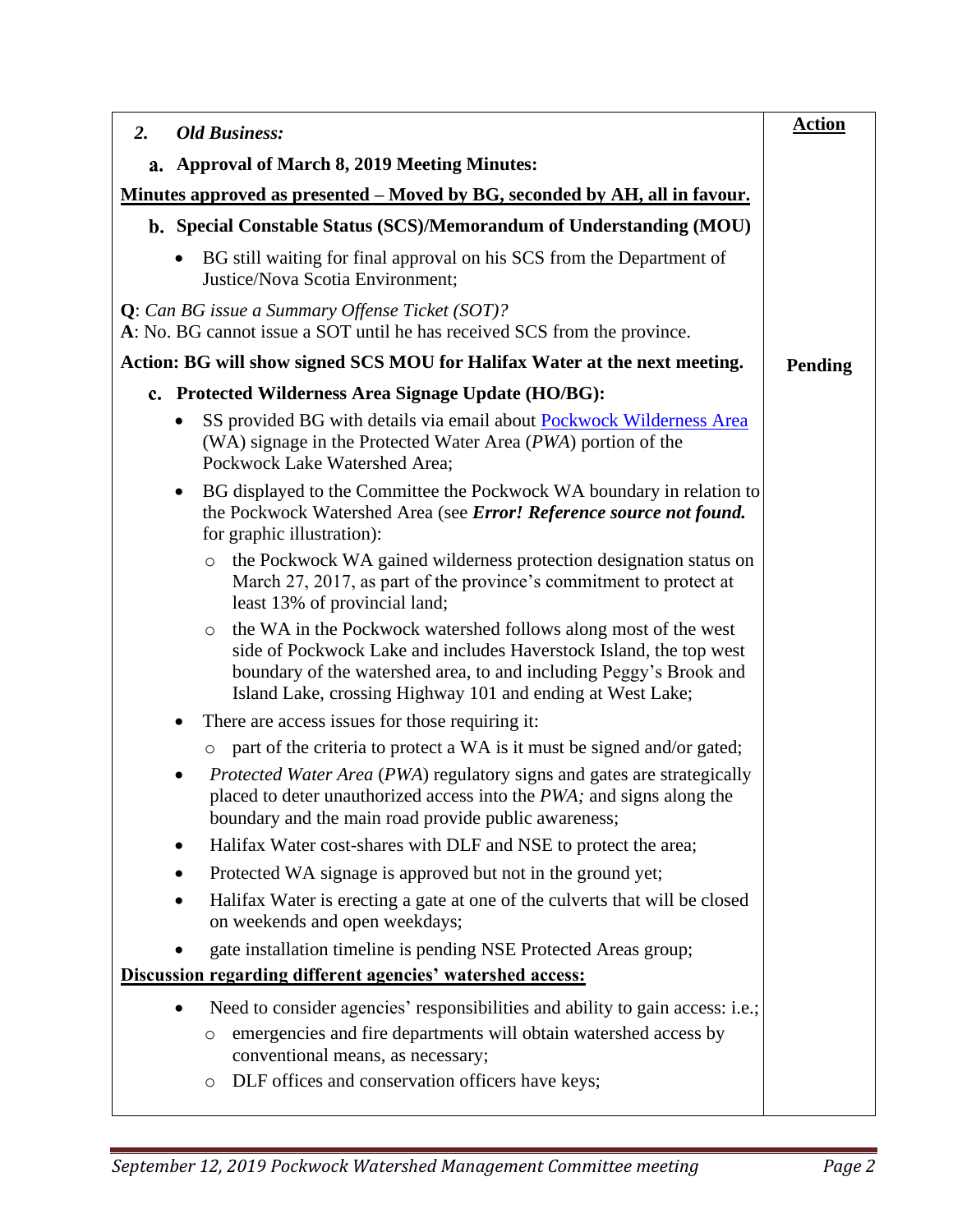| $\overline{2}$ .<br><b>Old Business:</b>                                                                                                                                                                                                                                             | <b>Action</b>  |
|--------------------------------------------------------------------------------------------------------------------------------------------------------------------------------------------------------------------------------------------------------------------------------------|----------------|
| <b>Approval of March 8, 2019 Meeting Minutes:</b><br>a.                                                                                                                                                                                                                              |                |
| <u>Minutes approved as presented – Moved by BG, seconded by AH, all in favour.</u>                                                                                                                                                                                                   |                |
| b. Special Constable Status (SCS)/Memorandum of Understanding (MOU)                                                                                                                                                                                                                  |                |
| BG still waiting for final approval on his SCS from the Department of<br>$\bullet$<br>Justice/Nova Scotia Environment;                                                                                                                                                               |                |
| Q: Can BG issue a Summary Offense Ticket (SOT)?<br>A: No. BG cannot issue a SOT until he has received SCS from the province.                                                                                                                                                         |                |
| Action: BG will show signed SCS MOU for Halifax Water at the next meeting.                                                                                                                                                                                                           | <b>Pending</b> |
| c. Protected Wilderness Area Signage Update (HO/BG):                                                                                                                                                                                                                                 |                |
| SS provided BG with details via email about <b>Pockwock Wilderness Area</b><br>$\bullet$<br>(WA) signage in the Protected Water Area (PWA) portion of the<br>Pockwock Lake Watershed Area;                                                                                           |                |
| BG displayed to the Committee the Pockwock WA boundary in relation to<br>$\bullet$<br>the Pockwock Watershed Area (see Error! Reference source not found.<br>for graphic illustration):                                                                                              |                |
| the Pockwock WA gained wilderness protection designation status on<br>$\circ$<br>March 27, 2017, as part of the province's commitment to protect at<br>least 13% of provincial land;                                                                                                 |                |
| the WA in the Pockwock watershed follows along most of the west<br>$\circ$<br>side of Pockwock Lake and includes Haverstock Island, the top west<br>boundary of the watershed area, to and including Peggy's Brook and<br>Island Lake, crossing Highway 101 and ending at West Lake; |                |
| There are access issues for those requiring it:<br>٠                                                                                                                                                                                                                                 |                |
| part of the criteria to protect a WA is it must be signed and/or gated;<br>$\circ$                                                                                                                                                                                                   |                |
| Protected Water Area (PWA) regulatory signs and gates are strategically<br>placed to deter unauthorized access into the PWA; and signs along the<br>boundary and the main road provide public awareness;                                                                             |                |
| Halifax Water cost-shares with DLF and NSE to protect the area;                                                                                                                                                                                                                      |                |
| Protected WA signage is approved but not in the ground yet;                                                                                                                                                                                                                          |                |
| Halifax Water is erecting a gate at one of the culverts that will be closed<br>on weekends and open weekdays;                                                                                                                                                                        |                |
| gate installation timeline is pending NSE Protected Areas group;                                                                                                                                                                                                                     |                |
| Discussion regarding different agencies' watershed access:                                                                                                                                                                                                                           |                |
| Need to consider agencies' responsibilities and ability to gain access: i.e.;<br>$\bullet$<br>emergencies and fire departments will obtain watershed access by<br>$\circ$<br>conventional means, as necessary;                                                                       |                |
| DLF offices and conservation officers have keys;<br>$\circ$                                                                                                                                                                                                                          |                |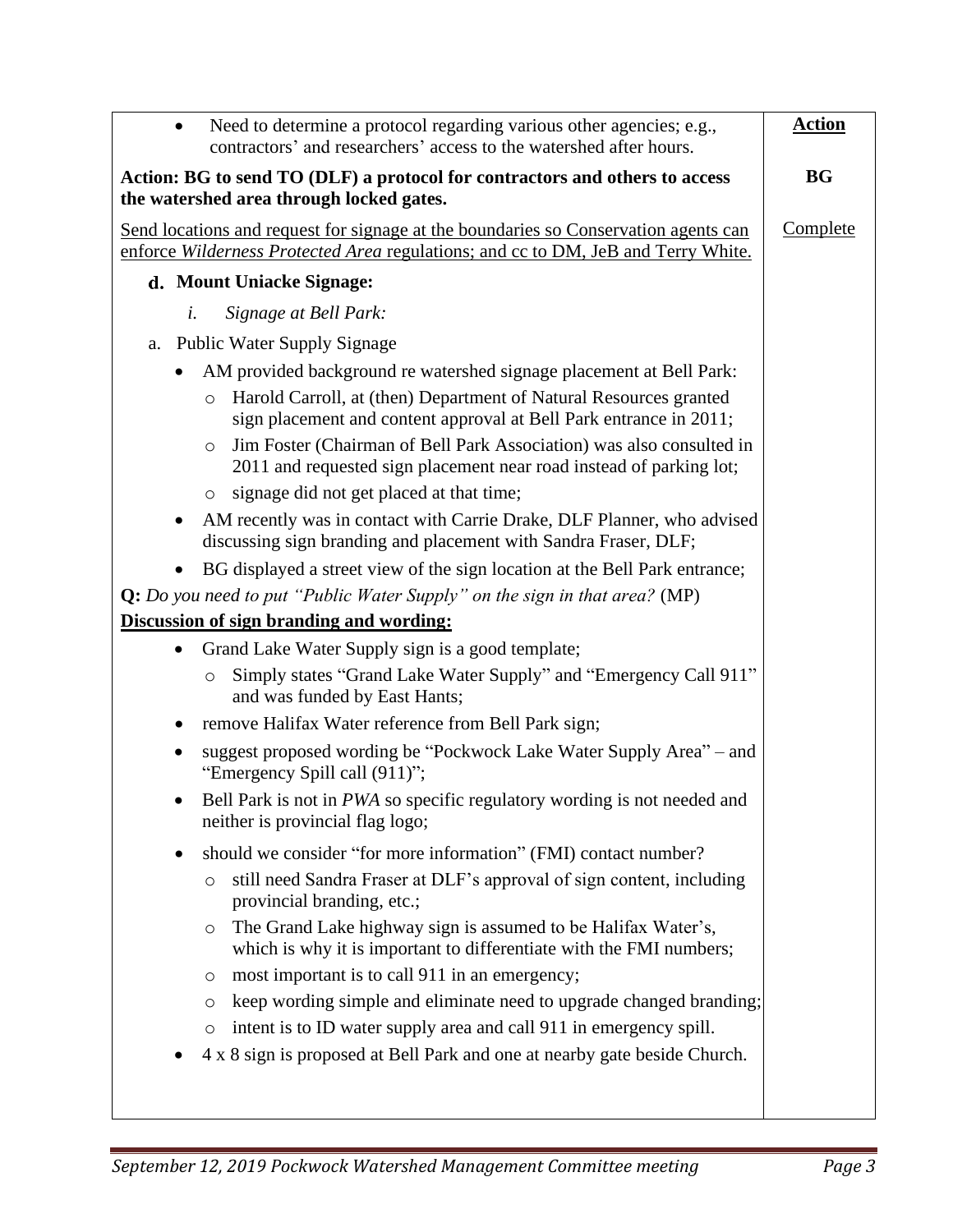| Need to determine a protocol regarding various other agencies; e.g.,<br>$\bullet$<br>contractors' and researchers' access to the watershed after hours.                  | <b>Action</b>   |
|--------------------------------------------------------------------------------------------------------------------------------------------------------------------------|-----------------|
| Action: BG to send TO (DLF) a protocol for contractors and others to access<br>the watershed area through locked gates.                                                  | <b>BG</b>       |
| Send locations and request for signage at the boundaries so Conservation agents can<br>enforce Wilderness Protected Area regulations; and cc to DM, JeB and Terry White. | <b>Complete</b> |
| d. Mount Uniacke Signage:                                                                                                                                                |                 |
| Signage at Bell Park:<br>i.                                                                                                                                              |                 |
| <b>Public Water Supply Signage</b><br>a.                                                                                                                                 |                 |
| AM provided background re watershed signage placement at Bell Park:                                                                                                      |                 |
| Harold Carroll, at (then) Department of Natural Resources granted<br>$\circ$<br>sign placement and content approval at Bell Park entrance in 2011;                       |                 |
| Jim Foster (Chairman of Bell Park Association) was also consulted in<br>$\circ$<br>2011 and requested sign placement near road instead of parking lot;                   |                 |
| signage did not get placed at that time;<br>$\circ$                                                                                                                      |                 |
| AM recently was in contact with Carrie Drake, DLF Planner, who advised<br>$\bullet$<br>discussing sign branding and placement with Sandra Fraser, DLF;                   |                 |
| BG displayed a street view of the sign location at the Bell Park entrance;                                                                                               |                 |
| $Q: Do$ you need to put "Public Water Supply" on the sign in that area? (MP)                                                                                             |                 |
| Discussion of sign branding and wording:                                                                                                                                 |                 |
| Grand Lake Water Supply sign is a good template;<br>$\bullet$                                                                                                            |                 |
| Simply states "Grand Lake Water Supply" and "Emergency Call 911"<br>$\circ$<br>and was funded by East Hants;                                                             |                 |
| remove Halifax Water reference from Bell Park sign;                                                                                                                      |                 |
| suggest proposed wording be "Pockwock Lake Water Supply Area" – and<br>٠<br>"Emergency Spill call (911)";                                                                |                 |
| Bell Park is not in PWA so specific regulatory wording is not needed and<br>neither is provincial flag logo;                                                             |                 |
| should we consider "for more information" (FMI) contact number?                                                                                                          |                 |
| still need Sandra Fraser at DLF's approval of sign content, including<br>$\circ$<br>provincial branding, etc.;                                                           |                 |
| The Grand Lake highway sign is assumed to be Halifax Water's,<br>$\circ$<br>which is why it is important to differentiate with the FMI numbers;                          |                 |
| most important is to call 911 in an emergency;<br>$\circ$                                                                                                                |                 |
| keep wording simple and eliminate need to upgrade changed branding;<br>$\circ$                                                                                           |                 |
| intent is to ID water supply area and call 911 in emergency spill.<br>$\circ$                                                                                            |                 |
| 4 x 8 sign is proposed at Bell Park and one at nearby gate beside Church.                                                                                                |                 |
|                                                                                                                                                                          |                 |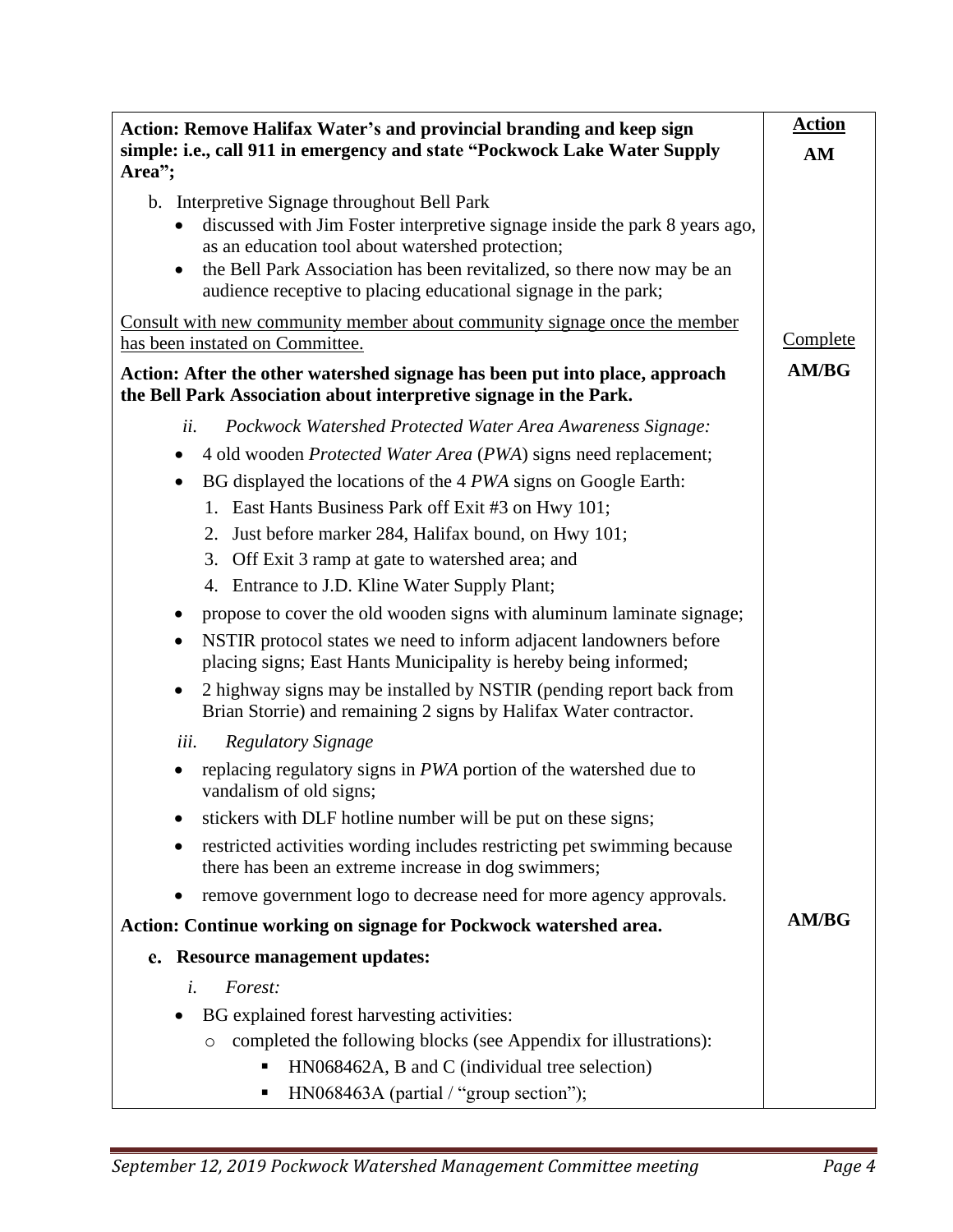| Action: Remove Halifax Water's and provincial branding and keep sign                                                                                                                                                                                                                                                                                  | <b>Action</b>   |
|-------------------------------------------------------------------------------------------------------------------------------------------------------------------------------------------------------------------------------------------------------------------------------------------------------------------------------------------------------|-----------------|
| simple: i.e., call 911 in emergency and state "Pockwock Lake Water Supply<br>Area";                                                                                                                                                                                                                                                                   | AM              |
| b. Interpretive Signage throughout Bell Park<br>discussed with Jim Foster interpretive signage inside the park 8 years ago,<br>$\bullet$<br>as an education tool about watershed protection;<br>the Bell Park Association has been revitalized, so there now may be an<br>$\bullet$<br>audience receptive to placing educational signage in the park; |                 |
| Consult with new community member about community signage once the member<br>has been instated on Committee.                                                                                                                                                                                                                                          | <b>Complete</b> |
| Action: After the other watershed signage has been put into place, approach<br>the Bell Park Association about interpretive signage in the Park.                                                                                                                                                                                                      | <b>AM/BG</b>    |
| ii.<br>Pockwock Watershed Protected Water Area Awareness Signage:                                                                                                                                                                                                                                                                                     |                 |
| 4 old wooden Protected Water Area (PWA) signs need replacement;<br>$\bullet$                                                                                                                                                                                                                                                                          |                 |
| BG displayed the locations of the 4 PWA signs on Google Earth:<br>$\bullet$                                                                                                                                                                                                                                                                           |                 |
| 1. East Hants Business Park off Exit #3 on Hwy 101;                                                                                                                                                                                                                                                                                                   |                 |
| 2. Just before marker 284, Halifax bound, on Hwy 101;                                                                                                                                                                                                                                                                                                 |                 |
| 3. Off Exit 3 ramp at gate to watershed area; and                                                                                                                                                                                                                                                                                                     |                 |
| 4. Entrance to J.D. Kline Water Supply Plant;                                                                                                                                                                                                                                                                                                         |                 |
| propose to cover the old wooden signs with aluminum laminate signage;<br>$\bullet$                                                                                                                                                                                                                                                                    |                 |
| NSTIR protocol states we need to inform adjacent landowners before<br>$\bullet$<br>placing signs; East Hants Municipality is hereby being informed;                                                                                                                                                                                                   |                 |
| 2 highway signs may be installed by NSTIR (pending report back from<br>$\bullet$<br>Brian Storrie) and remaining 2 signs by Halifax Water contractor.                                                                                                                                                                                                 |                 |
| <b>Regulatory Signage</b><br>iii.                                                                                                                                                                                                                                                                                                                     |                 |
| replacing regulatory signs in PWA portion of the watershed due to<br>vandalism of old signs;                                                                                                                                                                                                                                                          |                 |
| stickers with DLF hotline number will be put on these signs;                                                                                                                                                                                                                                                                                          |                 |
| restricted activities wording includes restricting pet swimming because<br>there has been an extreme increase in dog swimmers;                                                                                                                                                                                                                        |                 |
| remove government logo to decrease need for more agency approvals.<br>$\bullet$                                                                                                                                                                                                                                                                       |                 |
| Action: Continue working on signage for Pockwock watershed area.                                                                                                                                                                                                                                                                                      | <b>AM/BG</b>    |
| e. Resource management updates:                                                                                                                                                                                                                                                                                                                       |                 |
| i.<br>Forest:                                                                                                                                                                                                                                                                                                                                         |                 |
| BG explained forest harvesting activities:<br>$\bullet$                                                                                                                                                                                                                                                                                               |                 |
| completed the following blocks (see Appendix for illustrations):<br>$\circ$                                                                                                                                                                                                                                                                           |                 |
| HN068462A, B and C (individual tree selection)                                                                                                                                                                                                                                                                                                        |                 |
| HN068463A (partial / "group section");                                                                                                                                                                                                                                                                                                                |                 |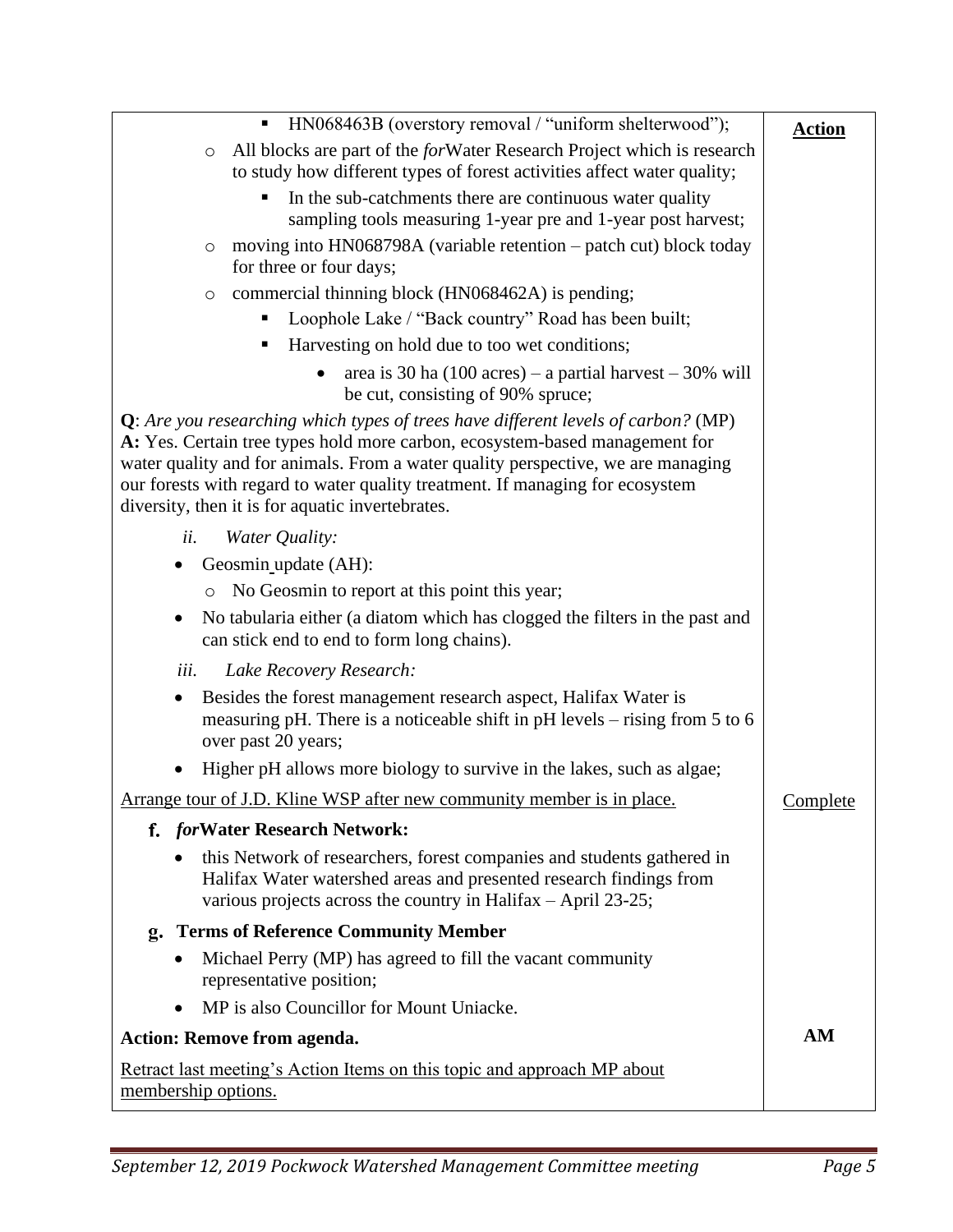| HN068463B (overstory removal / "uniform shelterwood");<br>$\blacksquare$                                                                                                                                                                                                                                                                                                                          | <b>Action</b>   |
|---------------------------------------------------------------------------------------------------------------------------------------------------------------------------------------------------------------------------------------------------------------------------------------------------------------------------------------------------------------------------------------------------|-----------------|
| All blocks are part of the <i>for</i> Water Research Project which is research<br>$\circ$                                                                                                                                                                                                                                                                                                         |                 |
| to study how different types of forest activities affect water quality;                                                                                                                                                                                                                                                                                                                           |                 |
| In the sub-catchments there are continuous water quality<br>п<br>sampling tools measuring 1-year pre and 1-year post harvest;                                                                                                                                                                                                                                                                     |                 |
| moving into HN068798A (variable retention – patch cut) block today<br>$\circ$                                                                                                                                                                                                                                                                                                                     |                 |
| for three or four days;                                                                                                                                                                                                                                                                                                                                                                           |                 |
| commercial thinning block (HN068462A) is pending;<br>$\circ$                                                                                                                                                                                                                                                                                                                                      |                 |
| Loophole Lake / "Back country" Road has been built;<br>п                                                                                                                                                                                                                                                                                                                                          |                 |
| Harvesting on hold due to too wet conditions;                                                                                                                                                                                                                                                                                                                                                     |                 |
| area is 30 ha $(100 \text{ acres})$ – a partial harvest – 30% will<br>be cut, consisting of 90% spruce;                                                                                                                                                                                                                                                                                           |                 |
| <b>Q</b> : Are you researching which types of trees have different levels of carbon? (MP)<br>A: Yes. Certain tree types hold more carbon, ecosystem-based management for<br>water quality and for animals. From a water quality perspective, we are managing<br>our forests with regard to water quality treatment. If managing for ecosystem<br>diversity, then it is for aquatic invertebrates. |                 |
| ii.<br>Water Quality:                                                                                                                                                                                                                                                                                                                                                                             |                 |
| Geosmin_update (AH):                                                                                                                                                                                                                                                                                                                                                                              |                 |
| No Geosmin to report at this point this year;<br>$\circ$                                                                                                                                                                                                                                                                                                                                          |                 |
| No tabularia either (a diatom which has clogged the filters in the past and<br>$\bullet$<br>can stick end to end to form long chains).                                                                                                                                                                                                                                                            |                 |
| iii.<br>Lake Recovery Research:                                                                                                                                                                                                                                                                                                                                                                   |                 |
| Besides the forest management research aspect, Halifax Water is<br>$\bullet$<br>measuring pH. There is a noticeable shift in pH levels – rising from 5 to 6<br>over past 20 years;                                                                                                                                                                                                                |                 |
| Higher pH allows more biology to survive in the lakes, such as algae;                                                                                                                                                                                                                                                                                                                             |                 |
| Arrange tour of J.D. Kline WSP after new community member is in place.                                                                                                                                                                                                                                                                                                                            | <b>Complete</b> |
| f. forWater Research Network:                                                                                                                                                                                                                                                                                                                                                                     |                 |
| this Network of researchers, forest companies and students gathered in<br>Halifax Water watershed areas and presented research findings from<br>various projects across the country in Halifax - April 23-25;                                                                                                                                                                                     |                 |
| <b>Terms of Reference Community Member</b><br>g.                                                                                                                                                                                                                                                                                                                                                  |                 |
| Michael Perry (MP) has agreed to fill the vacant community<br>representative position;                                                                                                                                                                                                                                                                                                            |                 |
| MP is also Councillor for Mount Uniacke.<br>$\bullet$                                                                                                                                                                                                                                                                                                                                             |                 |
| <b>Action: Remove from agenda.</b>                                                                                                                                                                                                                                                                                                                                                                | AM              |
| <u>Retract last meeting's Action Items on this topic and approach MP about</u><br>membership options.                                                                                                                                                                                                                                                                                             |                 |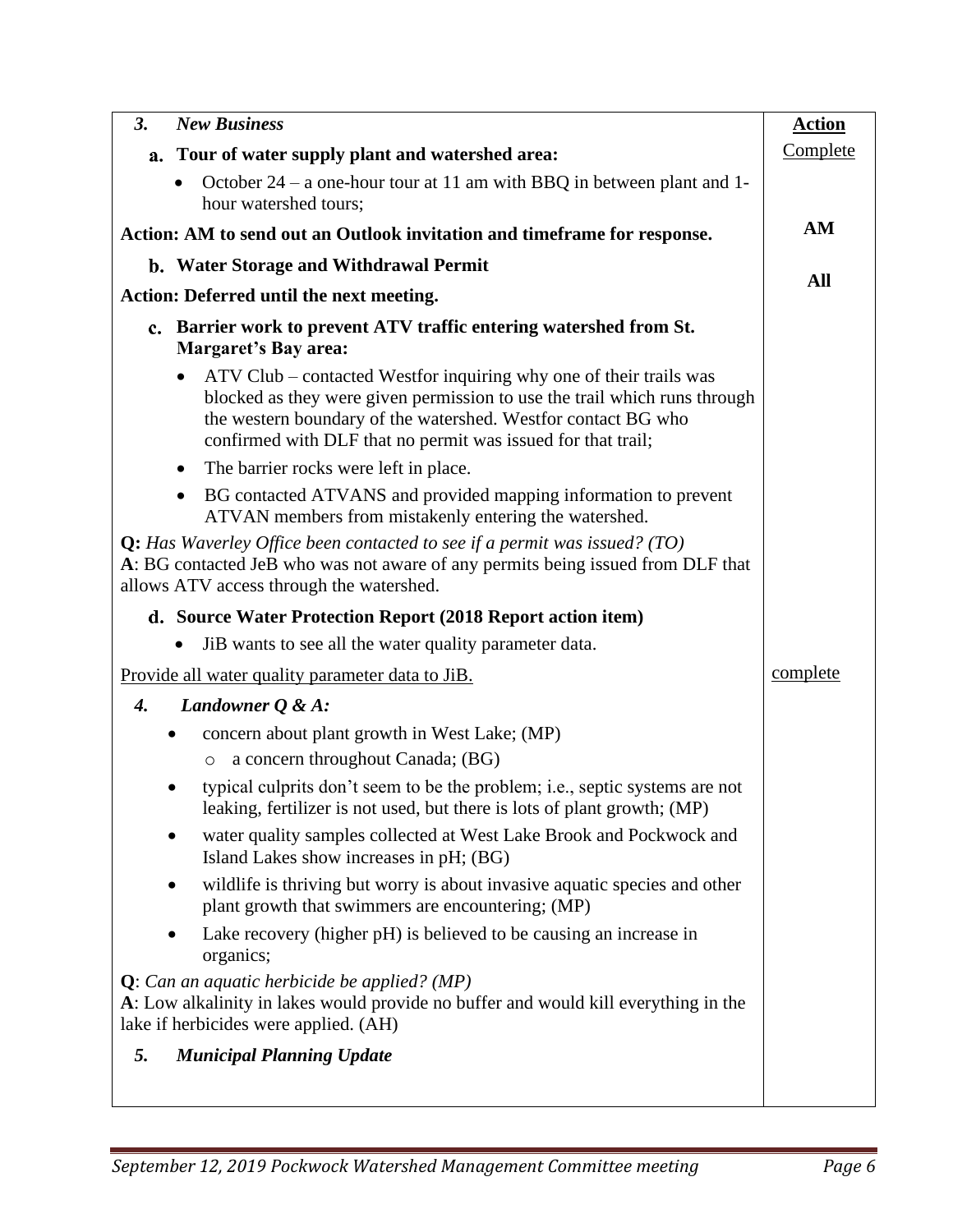| <b>New Business</b><br>3.                                                                                                                                                                                                                                                                     | <b>Action</b> |
|-----------------------------------------------------------------------------------------------------------------------------------------------------------------------------------------------------------------------------------------------------------------------------------------------|---------------|
| a. Tour of water supply plant and watershed area:                                                                                                                                                                                                                                             | Complete      |
| October $24 - a$ one-hour tour at 11 am with BBQ in between plant and 1-<br>$\bullet$<br>hour watershed tours;                                                                                                                                                                                |               |
| Action: AM to send out an Outlook invitation and timeframe for response.                                                                                                                                                                                                                      | AM            |
| b. Water Storage and Withdrawal Permit                                                                                                                                                                                                                                                        |               |
| Action: Deferred until the next meeting.                                                                                                                                                                                                                                                      | All           |
| c. Barrier work to prevent ATV traffic entering watershed from St.<br><b>Margaret's Bay area:</b>                                                                                                                                                                                             |               |
| ATV Club – contacted Westfor inquiring why one of their trails was<br>$\bullet$<br>blocked as they were given permission to use the trail which runs through<br>the western boundary of the watershed. Westfor contact BG who<br>confirmed with DLF that no permit was issued for that trail; |               |
| The barrier rocks were left in place.<br>٠                                                                                                                                                                                                                                                    |               |
| BG contacted ATVANS and provided mapping information to prevent<br>$\bullet$<br>ATVAN members from mistakenly entering the watershed.                                                                                                                                                         |               |
| <b>Q:</b> Has Waverley Office been contacted to see if a permit was issued? (TO)<br>A: BG contacted JeB who was not aware of any permits being issued from DLF that<br>allows ATV access through the watershed.                                                                               |               |
| d. Source Water Protection Report (2018 Report action item)                                                                                                                                                                                                                                   |               |
| JiB wants to see all the water quality parameter data.                                                                                                                                                                                                                                        |               |
| Provide all water quality parameter data to JiB.                                                                                                                                                                                                                                              | complete      |
| Landowner $Q \& A$ :<br>4.                                                                                                                                                                                                                                                                    |               |
| concern about plant growth in West Lake; (MP)<br>٠<br>a concern throughout Canada; (BG)<br>$\circ$                                                                                                                                                                                            |               |
| typical culprits don't seem to be the problem; i.e., septic systems are not<br>leaking, fertilizer is not used, but there is lots of plant growth; (MP)                                                                                                                                       |               |
| water quality samples collected at West Lake Brook and Pockwock and<br>Island Lakes show increases in pH; (BG)                                                                                                                                                                                |               |
| wildlife is thriving but worry is about invasive aquatic species and other<br>٠<br>plant growth that swimmers are encountering; (MP)                                                                                                                                                          |               |
| Lake recovery (higher pH) is believed to be causing an increase in<br>organics;                                                                                                                                                                                                               |               |
| $Q$ : Can an aquatic herbicide be applied? (MP)<br>A: Low alkalinity in lakes would provide no buffer and would kill everything in the<br>lake if herbicides were applied. (AH)                                                                                                               |               |
| 5.<br><b>Municipal Planning Update</b>                                                                                                                                                                                                                                                        |               |
|                                                                                                                                                                                                                                                                                               |               |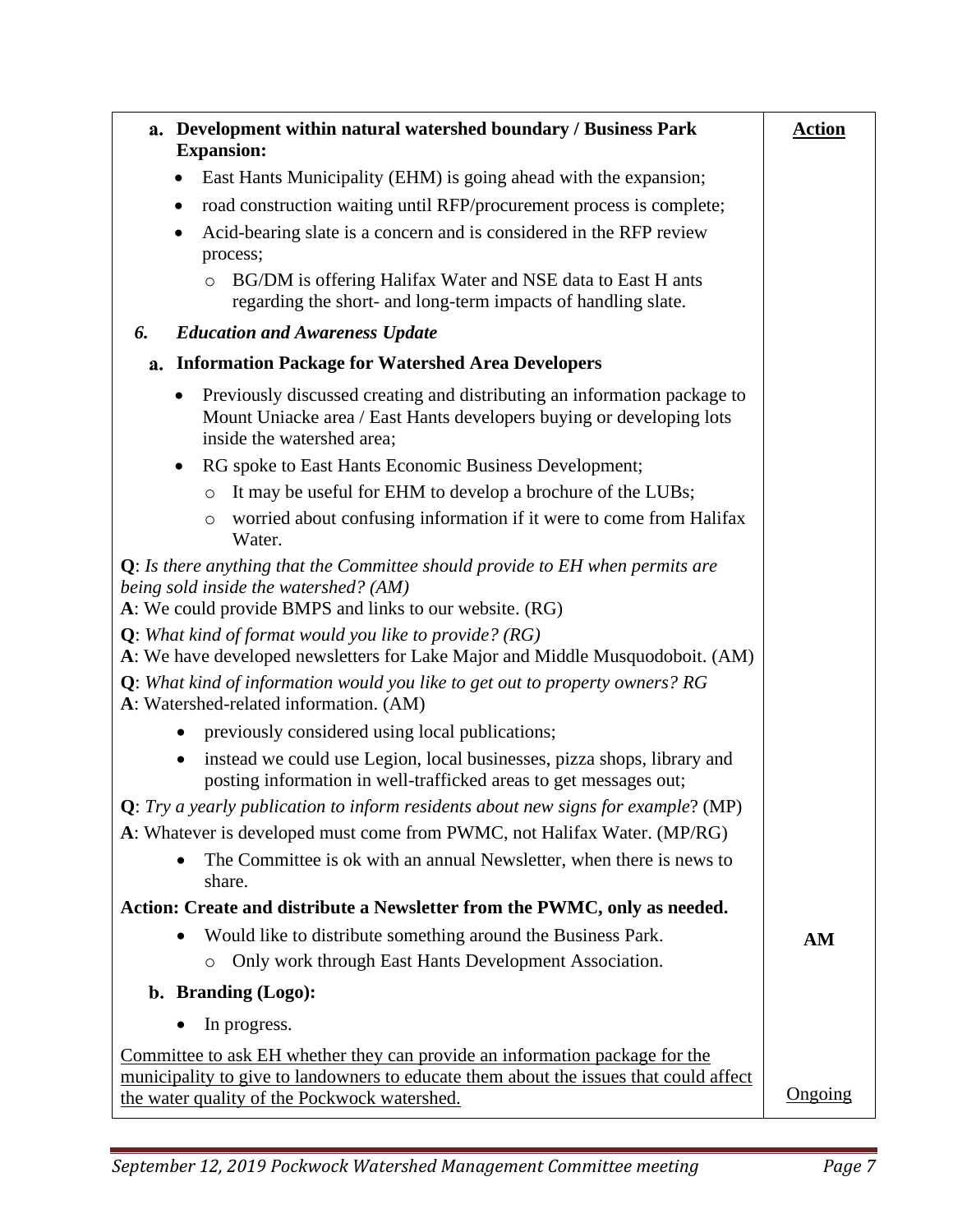| a. Development within natural watershed boundary / Business Park<br><b>Expansion:</b>                                                                                                                                | <b>Action</b> |
|----------------------------------------------------------------------------------------------------------------------------------------------------------------------------------------------------------------------|---------------|
| East Hants Municipality (EHM) is going ahead with the expansion;<br>$\bullet$                                                                                                                                        |               |
| road construction waiting until RFP/procurement process is complete;<br>٠                                                                                                                                            |               |
| Acid-bearing slate is a concern and is considered in the RFP review<br>٠<br>process;                                                                                                                                 |               |
| BG/DM is offering Halifax Water and NSE data to East H ants<br>$\circ$<br>regarding the short- and long-term impacts of handling slate.                                                                              |               |
| <b>Education and Awareness Update</b><br>6.                                                                                                                                                                          |               |
| <b>Information Package for Watershed Area Developers</b><br>a.                                                                                                                                                       |               |
| Previously discussed creating and distributing an information package to<br>$\bullet$<br>Mount Uniacke area / East Hants developers buying or developing lots<br>inside the watershed area;                          |               |
| RG spoke to East Hants Economic Business Development;<br>$\bullet$                                                                                                                                                   |               |
| It may be useful for EHM to develop a brochure of the LUBs;<br>$\circ$                                                                                                                                               |               |
| worried about confusing information if it were to come from Halifax<br>$\circ$<br>Water.                                                                                                                             |               |
| $Q$ : Is there anything that the Committee should provide to EH when permits are<br>being sold inside the watershed? (AM)<br>A: We could provide BMPS and links to our website. (RG)                                 |               |
| <b>Q</b> : What kind of format would you like to provide? ( $RG$ )<br>A: We have developed newsletters for Lake Major and Middle Musquodoboit. (AM)                                                                  |               |
| $Q$ : What kind of information would you like to get out to property owners? RG<br>A: Watershed-related information. (AM)                                                                                            |               |
| previously considered using local publications;                                                                                                                                                                      |               |
| instead we could use Legion, local businesses, pizza shops, library and<br>posting information in well-trafficked areas to get messages out;                                                                         |               |
| Q: Try a yearly publication to inform residents about new signs for example? (MP)                                                                                                                                    |               |
| A: Whatever is developed must come from PWMC, not Halifax Water. (MP/RG)                                                                                                                                             |               |
| The Committee is ok with an annual Newsletter, when there is news to<br>share.                                                                                                                                       |               |
| Action: Create and distribute a Newsletter from the PWMC, only as needed.                                                                                                                                            |               |
| Would like to distribute something around the Business Park.                                                                                                                                                         | AM            |
| Only work through East Hants Development Association.<br>$\circ$                                                                                                                                                     |               |
| b. Branding (Logo):                                                                                                                                                                                                  |               |
| In progress.                                                                                                                                                                                                         |               |
| Committee to ask EH whether they can provide an information package for the<br>municipality to give to landowners to educate them about the issues that could affect<br>the water quality of the Pockwock watershed. | Ongoing       |